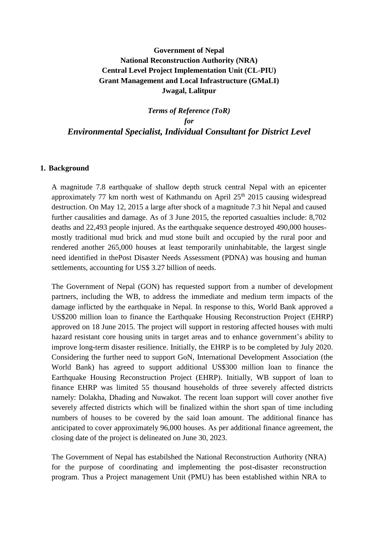# **Government of Nepal National Reconstruction Authority (NRA) Central Level Project Implementation Unit (CL-PIU) Grant Management and Local Infrastructure (GMaLI) Jwagal, Lalitpur**

*Terms of Reference (ToR) for Environmental Specialist, Individual Consultant for District Level*

#### **1. Background**

A magnitude 7.8 earthquake of shallow depth struck central Nepal with an epicenter approximately 77 km north west of Kathmandu on April  $25<sup>th</sup>$  2015 causing widespread destruction. On May 12, 2015 a large after shock of a magnitude 7.3 hit Nepal and caused further causalities and damage. As of 3 June 2015, the reported casualties include: 8,702 deaths and 22,493 people injured. As the earthquake sequence destroyed 490,000 housesmostly traditional mud brick and mud stone built and occupied by the rural poor and rendered another 265,000 houses at least temporarily uninhabitable, the largest single need identified in thePost Disaster Needs Assessment (PDNA) was housing and human settlements, accounting for US\$ 3.27 billion of needs.

The Government of Nepal (GON) has requested support from a number of development partners, including the WB, to address the immediate and medium term impacts of the damage inflicted by the earthquake in Nepal. In response to this, World Bank approved a US\$200 million loan to finance the Earthquake Housing Reconstruction Project (EHRP) approved on 18 June 2015. The project will support in restoring affected houses with multi hazard resistant core housing units in target areas and to enhance government's ability to improve long-term disaster resilience. Initially, the EHRP is to be completed by July 2020. Considering the further need to support GoN, International Development Association (the World Bank) has agreed to support additional US\$300 million loan to finance the Earthquake Housing Reconstruction Project (EHRP). Initially, WB support of loan to finance EHRP was limited 55 thousand households of three severely affected districts namely: Dolakha, Dhading and Nuwakot. The recent loan support will cover another five severely affected districts which will be finalized within the short span of time including numbers of houses to be covered by the said loan amount. The additional finance has anticipated to cover approximately 96,000 houses. As per additional finance agreement, the closing date of the project is delineated on June 30, 2023.

The Government of Nepal has estabilshed the National Reconstruction Authority (NRA) for the purpose of coordinating and implementing the post-disaster reconstruction program. Thus a Project management Unit (PMU) has been established within NRA to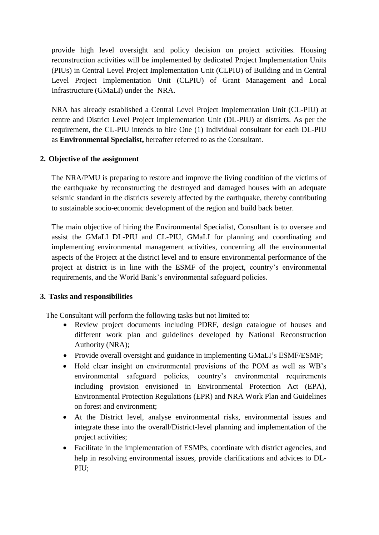provide high level oversight and policy decision on project activities. Housing reconstruction activities will be implemented by dedicated Project Implementation Units (PIUs) in Central Level Project Implementation Unit (CLPIU) of Building and in Central Level Project Implementation Unit (CLPIU) of Grant Management and Local Infrastructure (GMaLI) under the NRA.

NRA has already established a Central Level Project Implementation Unit (CL-PIU) at centre and District Level Project Implementation Unit (DL-PIU) at districts. As per the requirement, the CL-PIU intends to hire One (1) Individual consultant for each DL-PIU as **Environmental Specialist,** hereafter referred to as the Consultant.

## **2. Objective of the assignment**

The NRA/PMU is preparing to restore and improve the living condition of the victims of the earthquake by reconstructing the destroyed and damaged houses with an adequate seismic standard in the districts severely affected by the earthquake, thereby contributing to sustainable socio-economic development of the region and build back better.

The main objective of hiring the Environmental Specialist, Consultant is to oversee and assist the GMaLI DL-PIU and CL-PIU, GMaLI for planning and coordinating and implementing environmental management activities, concerning all the environmental aspects of the Project at the district level and to ensure environmental performance of the project at district is in line with the ESMF of the project, country's environmental requirements, and the World Bank's environmental safeguard policies.

## **3. Tasks and responsibilities**

The Consultant will perform the following tasks but not limited to:

- Review project documents including PDRF, design catalogue of houses and different work plan and guidelines developed by National Reconstruction Authority (NRA);
- Provide overall oversight and guidance in implementing GMaLI's ESMF/ESMP;
- Hold clear insight on environmental provisions of the POM as well as WB's environmental safeguard policies, country's environmental requirements including provision envisioned in Environmental Protection Act (EPA), Environmental Protection Regulations (EPR) and NRA Work Plan and Guidelines on forest and environment;
- At the District level, analyse environmental risks, environmental issues and integrate these into the overall/District-level planning and implementation of the project activities;
- Facilitate in the implementation of ESMPs, coordinate with district agencies, and help in resolving environmental issues, provide clarifications and advices to DL-PIU;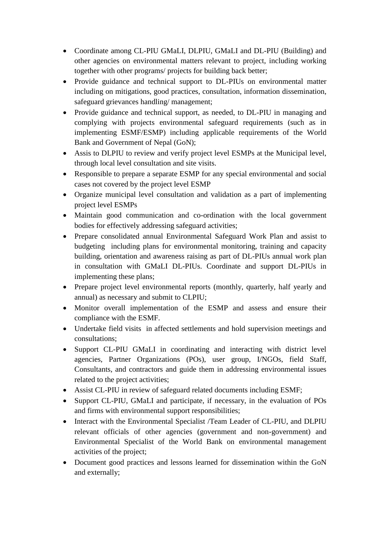- Coordinate among CL-PIU GMaLI, DLPIU, GMaLI and DL-PIU (Building) and other agencies on environmental matters relevant to project, including working together with other programs/ projects for building back better;
- Provide guidance and technical support to DL-PIUs on environmental matter including on mitigations, good practices, consultation, information dissemination, safeguard grievances handling/ management;
- Provide guidance and technical support, as needed, to DL-PIU in managing and complying with projects environmental safeguard requirements (such as in implementing ESMF/ESMP) including applicable requirements of the World Bank and Government of Nepal (GoN);
- Assis to DLPIU to review and verify project level ESMPs at the Municipal level, through local level consultation and site visits.
- Responsible to prepare a separate ESMP for any special environmental and social cases not covered by the project level ESMP
- Organize municipal level consultation and validation as a part of implementing project level ESMPs
- Maintain good communication and co-ordination with the local government bodies for effectively addressing safeguard activities;
- Prepare consolidated annual Environmental Safeguard Work Plan and assist to budgeting including plans for environmental monitoring, training and capacity building, orientation and awareness raising as part of DL-PIUs annual work plan in consultation with GMaLI DL-PIUs. Coordinate and support DL-PIUs in implementing these plans;
- Prepare project level environmental reports (monthly, quarterly, half yearly and annual) as necessary and submit to CLPIU;
- Monitor overall implementation of the ESMP and assess and ensure their compliance with the ESMF.
- Undertake field visits in affected settlements and hold supervision meetings and consultations;
- Support CL-PIU GMaLI in coordinating and interacting with district level agencies, Partner Organizations (POs), user group, I/NGOs, field Staff, Consultants, and contractors and guide them in addressing environmental issues related to the project activities;
- Assist CL-PIU in review of safeguard related documents including ESMF;
- Support CL-PIU, GMaLI and participate, if necessary, in the evaluation of POs and firms with environmental support responsibilities;
- Interact with the Environmental Specialist /Team Leader of CL-PIU, and DLPIU relevant officials of other agencies (government and non-government) and Environmental Specialist of the World Bank on environmental management activities of the project;
- Document good practices and lessons learned for dissemination within the GoN and externally;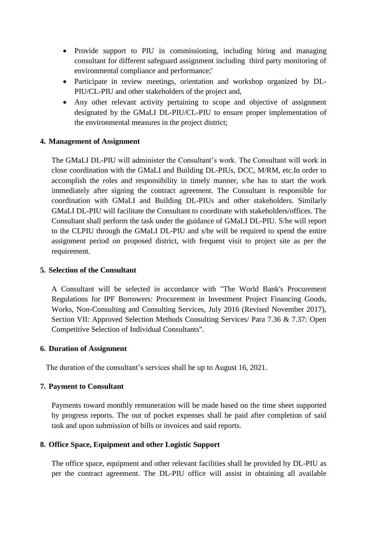- Provide support to PIU in commissioning, including hiring and managing consultant for different safeguard assignment including third party monitoring of environmental compliance and performance;'
- Participate in review meetings, orientation and workshop organized by DL-PIU/CL-PIU and other stakeholders of the project and,
- Any other relevant activity pertaining to scope and objective of assignment designated by the GMaLI DL-PIU/CL-PIU to ensure proper implementation of the environmental measures in the project district;

## **4. Management of Assignment**

The GMaLI DL-PIU will administer the Consultant's work. The Consultant will work in close coordination with the GMaLI and Building DL-PIUs, DCC, M/RM, etc.In order to accomplish the roles and responsibility in timely manner, s/he has to start the work immediately after signing the contract agreement. The Consultant is responsible for coordination with GMaLI and Building DL-PIUs and other stakeholders. Similarly GMaLI DL-PIU will facilitate the Consultant to coordinate with stakeholders/offices. The Consultant shall perform the task under the guidance of GMaLI DL-PIU. S/he will report to the CLPIU through the GMaLI DL-PIU and s/he will be required to spend the entire assignment period on proposed district, with frequent visit to project site as per the requirement.

#### **5. Selection of the Consultant**

A Consultant will be selected in accordance with "The World Bank's Procurement Regulations for IPF Borrowers: Procurement in Investment Project Financing Goods, Works, Non-Consulting and Consulting Services, July 2016 (Revised November 2017), Section VII: Approved Selection Methods Consulting Services/ Para 7.36 & 7.37: Open Competitive Selection of Individual Consultants".

#### **6. Duration of Assignment**

The duration of the consultant's services shall be up to August 16, 2021.

#### **7. Payment to Consultant**

Payments toward monthly remuneration will be made based on the time sheet supported by progress reports. The out of pocket expenses shall be paid after completion of said task and upon submission of bills or invoices and said reports.

## **8. Office Space, Equipment and other Logistic Support**

The office space, equipment and other relevant facilities shall be provided by DL-PIU as per the contract agreement. The DL-PIU office will assist in obtaining all available